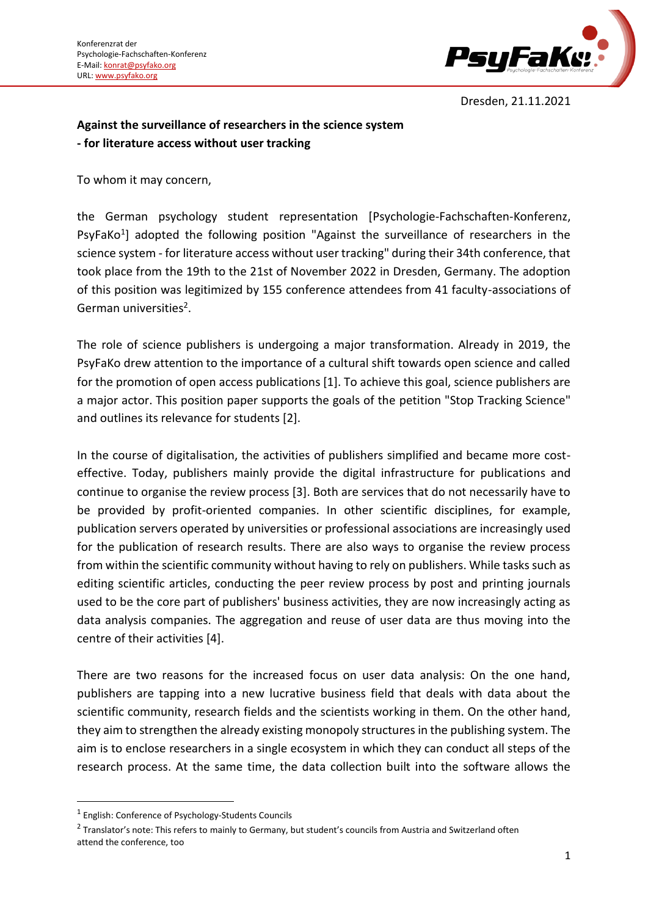

Dresden, 21.11.2021

## **Against the surveillance of researchers in the science system - for literature access without user tracking**

To whom it may concern,

the German psychology student representation [Psychologie-Fachschaften-Konferenz, PsyFaKo<sup>1</sup>] adopted the following position "Against the surveillance of researchers in the science system - for literature access without user tracking" during their 34th conference, that took place from the 19th to the 21st of November 2022 in Dresden, Germany. The adoption of this position was legitimized by 155 conference attendees from 41 faculty-associations of German universities<sup>2</sup>.

The role of science publishers is undergoing a major transformation. Already in 2019, the PsyFaKo drew attention to the importance of a cultural shift towards open science and called for the promotion of open access publications [1]. To achieve this goal, science publishers are a major actor. This position paper supports the goals of the petition "Stop Tracking Science" and outlines its relevance for students [2].

In the course of digitalisation, the activities of publishers simplified and became more costeffective. Today, publishers mainly provide the digital infrastructure for publications and continue to organise the review process [3]. Both are services that do not necessarily have to be provided by profit-oriented companies. In other scientific disciplines, for example, publication servers operated by universities or professional associations are increasingly used for the publication of research results. There are also ways to organise the review process from within the scientific community without having to rely on publishers. While tasks such as editing scientific articles, conducting the peer review process by post and printing journals used to be the core part of publishers' business activities, they are now increasingly acting as data analysis companies. The aggregation and reuse of user data are thus moving into the centre of their activities [4].

There are two reasons for the increased focus on user data analysis: On the one hand, publishers are tapping into a new lucrative business field that deals with data about the scientific community, research fields and the scientists working in them. On the other hand, they aim to strengthen the already existing monopoly structures in the publishing system. The aim is to enclose researchers in a single ecosystem in which they can conduct all steps of the research process. At the same time, the data collection built into the software allows the

<sup>&</sup>lt;sup>1</sup> English: Conference of Psychology-Students Councils

 $^2$  Translator's note: This refers to mainly to Germany, but student's councils from Austria and Switzerland often attend the conference, too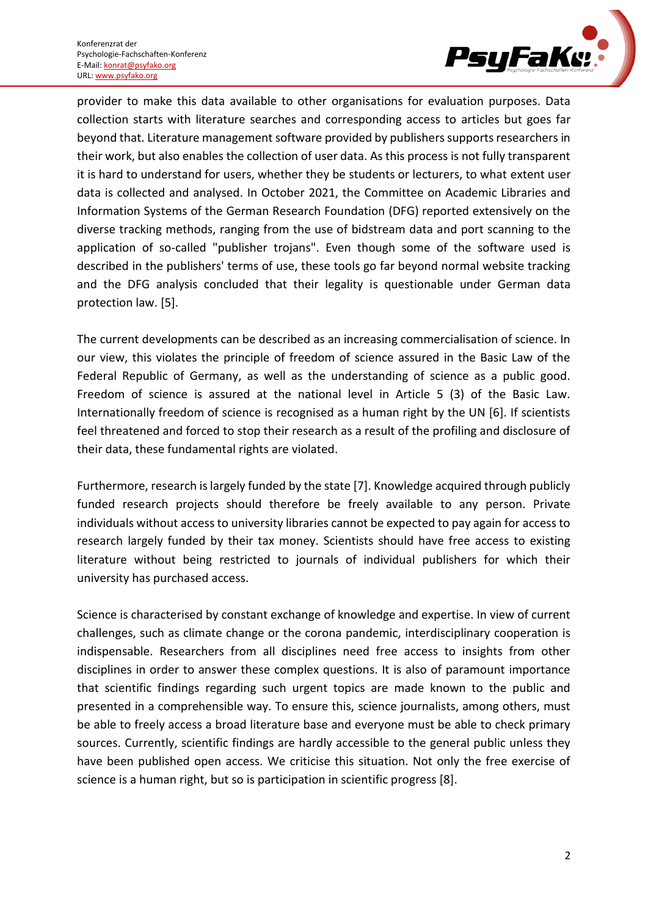

provider to make this data available to other organisations for evaluation purposes. Data collection starts with literature searches and corresponding access to articles but goes far beyond that. Literature management software provided by publishers supports researchers in their work, but also enables the collection of user data. As this process is not fully transparent it is hard to understand for users, whether they be students or lecturers, to what extent user data is collected and analysed. In October 2021, the Committee on Academic Libraries and Information Systems of the German Research Foundation (DFG) reported extensively on the diverse tracking methods, ranging from the use of bidstream data and port scanning to the application of so-called "publisher trojans". Even though some of the software used is described in the publishers' terms of use, these tools go far beyond normal website tracking and the DFG analysis concluded that their legality is questionable under German data protection law. [5].

The current developments can be described as an increasing commercialisation of science. In our view, this violates the principle of freedom of science assured in the Basic Law of the Federal Republic of Germany, as well as the understanding of science as a public good. Freedom of science is assured at the national level in Article 5 (3) of the Basic Law. Internationally freedom of science is recognised as a human right by the UN [6]. If scientists feel threatened and forced to stop their research as a result of the profiling and disclosure of their data, these fundamental rights are violated.

Furthermore, research is largely funded by the state [7]. Knowledge acquired through publicly funded research projects should therefore be freely available to any person. Private individuals without access to university libraries cannot be expected to pay again for access to research largely funded by their tax money. Scientists should have free access to existing literature without being restricted to journals of individual publishers for which their university has purchased access.

Science is characterised by constant exchange of knowledge and expertise. In view of current challenges, such as climate change or the corona pandemic, interdisciplinary cooperation is indispensable. Researchers from all disciplines need free access to insights from other disciplines in order to answer these complex questions. It is also of paramount importance that scientific findings regarding such urgent topics are made known to the public and presented in a comprehensible way. To ensure this, science journalists, among others, must be able to freely access a broad literature base and everyone must be able to check primary sources. Currently, scientific findings are hardly accessible to the general public unless they have been published open access. We criticise this situation. Not only the free exercise of science is a human right, but so is participation in scientific progress [8].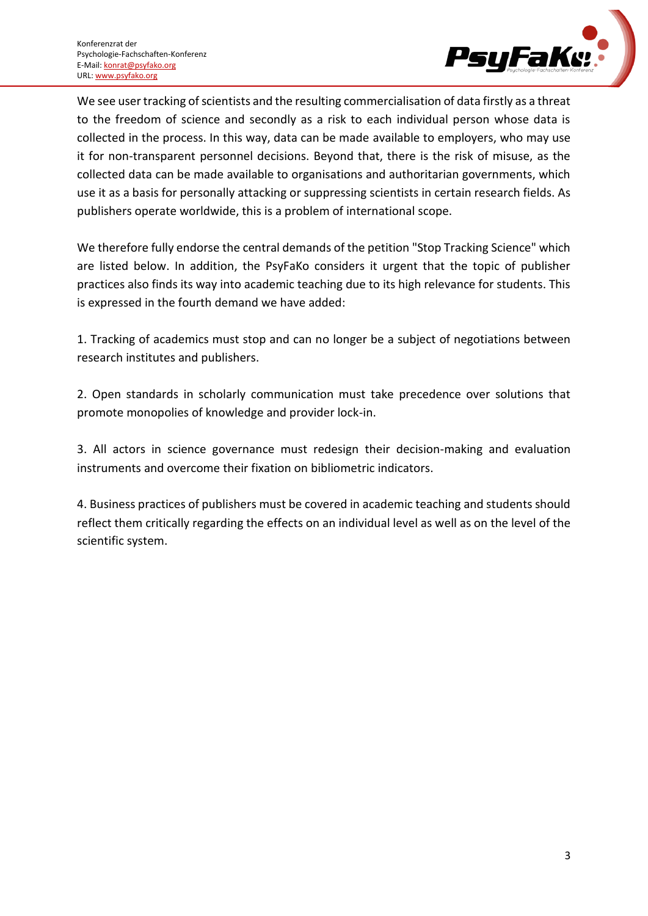

We see user tracking of scientists and the resulting commercialisation of data firstly as a threat to the freedom of science and secondly as a risk to each individual person whose data is collected in the process. In this way, data can be made available to employers, who may use it for non-transparent personnel decisions. Beyond that, there is the risk of misuse, as the collected data can be made available to organisations and authoritarian governments, which use it as a basis for personally attacking or suppressing scientists in certain research fields. As publishers operate worldwide, this is a problem of international scope.

We therefore fully endorse the central demands of the petition "Stop Tracking Science" which are listed below. In addition, the PsyFaKo considers it urgent that the topic of publisher practices also finds its way into academic teaching due to its high relevance for students. This is expressed in the fourth demand we have added:

1. Tracking of academics must stop and can no longer be a subject of negotiations between research institutes and publishers.

2. Open standards in scholarly communication must take precedence over solutions that promote monopolies of knowledge and provider lock-in.

3. All actors in science governance must redesign their decision-making and evaluation instruments and overcome their fixation on bibliometric indicators.

4. Business practices of publishers must be covered in academic teaching and students should reflect them critically regarding the effects on an individual level as well as on the level of the scientific system.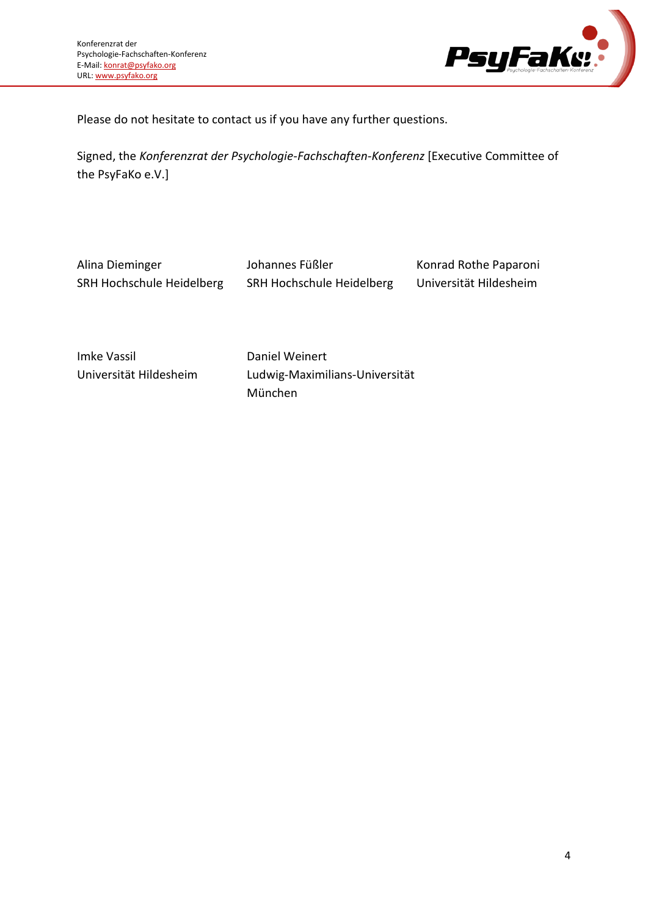

Please do not hesitate to contact us if you have any further questions.

Signed, the *Konferenzrat der Psychologie-Fachschaften-Konferenz* [Executive Committee of the PsyFaKo e.V.]

Alina Dieminger SRH Hochschule Heidelberg

Johannes Füßler SRH Hochschule Heidelberg

Konrad Rothe Paparoni Universität Hildesheim

Imke Vassil Universität Hildesheim Daniel Weinert Ludwig-Maximilians-Universität München